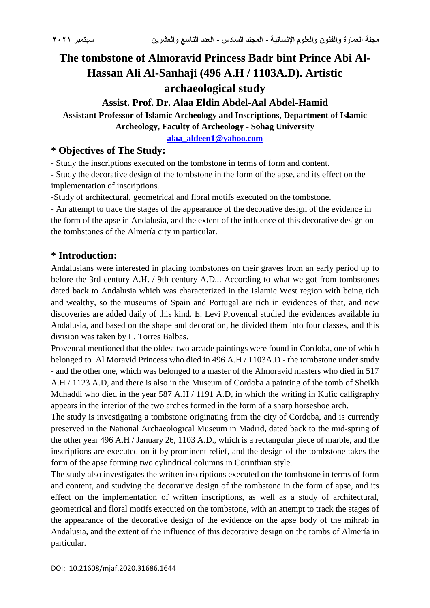# **The tombstone of Almoravid Princess Badr bint Prince Abi Al-Hassan Ali Al-Sanhaji (496 A.H / 1103A.D). Artistic archaeological study**

## **Assist. Prof. Dr. Alaa Eldin Abdel-Aal Abdel-Hamid**

**Assistant Professor of Islamic Archeology and Inscriptions, Department of Islamic Archeology, Faculty of Archeology - Sohag University**

**[alaa\\_aldeen1@yahoo.com](mailto:alaa_aldeen1@yahoo.com)**

# **\* Objectives of The Study:**

- Study the inscriptions executed on the tombstone in terms of form and content.

- Study the decorative design of the tombstone in the form of the apse, and its effect on the implementation of inscriptions.

-Study of architectural, geometrical and floral motifs executed on the tombstone.

- An attempt to trace the stages of the appearance of the decorative design of the evidence in the form of the apse in Andalusia, and the extent of the influence of this decorative design on the tombstones of the Almería city in particular.

#### **\* Introduction:**

Andalusians were interested in placing tombstones on their graves from an early period up to before the 3rd century A.H. / 9th century A.D... According to what we got from tombstones dated back to Andalusia which was characterized in the Islamic West region with being rich and wealthy, so the museums of Spain and Portugal are rich in evidences of that, and new discoveries are added daily of this kind. E. Levi Provencal studied the evidences available in Andalusia, and based on the shape and decoration, he divided them into four classes, and this division was taken by L. Torres Balbas.

Provencal mentioned that the oldest two arcade paintings were found in Cordoba, one of which belonged to Al Moravid Princess who died in 496 A.H / 1103A.D - the tombstone under study - and the other one, which was belonged to a master of the Almoravid masters who died in 517 A.H / 1123 A.D, and there is also in the Museum of Cordoba a painting of the tomb of Sheikh Muhaddi who died in the year 587 A.H / 1191 A.D, in which the writing in Kufic calligraphy appears in the interior of the two arches formed in the form of a sharp horseshoe arch.

The study is investigating a tombstone originating from the city of Cordoba, and is currently preserved in the National Archaeological Museum in Madrid, dated back to the mid-spring of the other year 496 A.H / January 26, 1103 A.D., which is a rectangular piece of marble, and the inscriptions are executed on it by prominent relief, and the design of the tombstone takes the form of the apse forming two cylindrical columns in Corinthian style.

The study also investigates the written inscriptions executed on the tombstone in terms of form and content, and studying the decorative design of the tombstone in the form of apse, and its effect on the implementation of written inscriptions, as well as a study of architectural, geometrical and floral motifs executed on the tombstone, with an attempt to track the stages of the appearance of the decorative design of the evidence on the apse body of the mihrab in Andalusia, and the extent of the influence of this decorative design on the tombs of Almería in particular.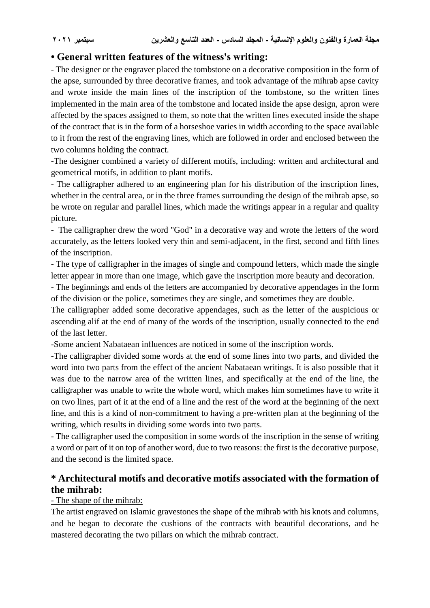# **• General written features of the witness's writing:**

- The designer or the engraver placed the tombstone on a decorative composition in the form of the apse, surrounded by three decorative frames, and took advantage of the mihrab apse cavity and wrote inside the main lines of the inscription of the tombstone, so the written lines implemented in the main area of the tombstone and located inside the apse design, apron were affected by the spaces assigned to them, so note that the written lines executed inside the shape of the contract that is in the form of a horseshoe varies in width according to the space available to it from the rest of the engraving lines, which are followed in order and enclosed between the two columns holding the contract.

-The designer combined a variety of different motifs, including: written and architectural and geometrical motifs, in addition to plant motifs.

- The calligrapher adhered to an engineering plan for his distribution of the inscription lines, whether in the central area, or in the three frames surrounding the design of the mihrab apse, so he wrote on regular and parallel lines, which made the writings appear in a regular and quality picture.

- The calligrapher drew the word "God" in a decorative way and wrote the letters of the word accurately, as the letters looked very thin and semi-adjacent, in the first, second and fifth lines of the inscription.

- The type of calligrapher in the images of single and compound letters, which made the single letter appear in more than one image, which gave the inscription more beauty and decoration.

- The beginnings and ends of the letters are accompanied by decorative appendages in the form of the division or the police, sometimes they are single, and sometimes they are double.

The calligrapher added some decorative appendages, such as the letter of the auspicious or ascending alif at the end of many of the words of the inscription, usually connected to the end of the last letter.

-Some ancient Nabataean influences are noticed in some of the inscription words.

-The calligrapher divided some words at the end of some lines into two parts, and divided the word into two parts from the effect of the ancient Nabataean writings. It is also possible that it was due to the narrow area of the written lines, and specifically at the end of the line, the calligrapher was unable to write the whole word, which makes him sometimes have to write it on two lines, part of it at the end of a line and the rest of the word at the beginning of the next line, and this is a kind of non-commitment to having a pre-written plan at the beginning of the writing, which results in dividing some words into two parts.

- The calligrapher used the composition in some words of the inscription in the sense of writing a word or part of it on top of another word, due to two reasons: the first is the decorative purpose, and the second is the limited space.

# **\* Architectural motifs and decorative motifs associated with the formation of the mihrab:**

#### - The shape of the mihrab:

The artist engraved on Islamic gravestones the shape of the mihrab with his knots and columns, and he began to decorate the cushions of the contracts with beautiful decorations, and he mastered decorating the two pillars on which the mihrab contract.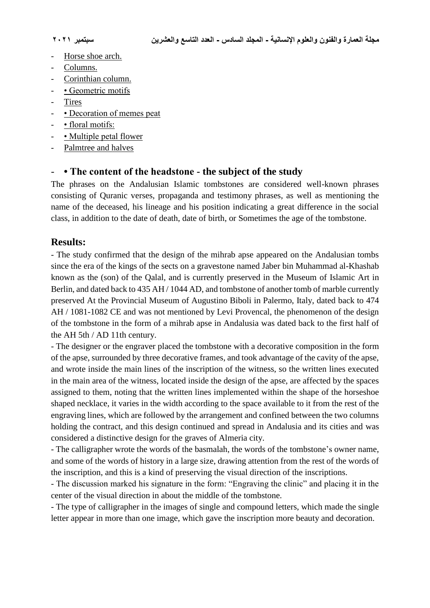- Horse shoe arch.
- Columns.
- Corinthian column.
- • Geometric motifs
- **Tires**
- • Decoration of memes peat
- • floral motifs:
- Multiple petal flower
- Palmtree and halves

## - **• The content of the headstone - the subject of the study**

The phrases on the Andalusian Islamic tombstones are considered well-known phrases consisting of Quranic verses, propaganda and testimony phrases, as well as mentioning the name of the deceased, his lineage and his position indicating a great difference in the social class, in addition to the date of death, date of birth, or Sometimes the age of the tombstone.

## **Results:**

- The study confirmed that the design of the mihrab apse appeared on the Andalusian tombs since the era of the kings of the sects on a gravestone named Jaber bin Muhammad al-Khashab known as the (son) of the Qalal, and is currently preserved in the Museum of Islamic Art in Berlin, and dated back to 435 AH / 1044 AD, and tombstone of another tomb of marble currently preserved At the Provincial Museum of Augustino Biboli in Palermo, Italy, dated back to 474 AH / 1081-1082 CE and was not mentioned by Levi Provencal, the phenomenon of the design of the tombstone in the form of a mihrab apse in Andalusia was dated back to the first half of the AH 5th / AD 11th century.

- The designer or the engraver placed the tombstone with a decorative composition in the form of the apse, surrounded by three decorative frames, and took advantage of the cavity of the apse, and wrote inside the main lines of the inscription of the witness, so the written lines executed in the main area of the witness, located inside the design of the apse, are affected by the spaces assigned to them, noting that the written lines implemented within the shape of the horseshoe shaped necklace, it varies in the width according to the space available to it from the rest of the engraving lines, which are followed by the arrangement and confined between the two columns holding the contract, and this design continued and spread in Andalusia and its cities and was considered a distinctive design for the graves of Almeria city.

- The calligrapher wrote the words of the basmalah, the words of the tombstone's owner name, and some of the words of history in a large size, drawing attention from the rest of the words of the inscription, and this is a kind of preserving the visual direction of the inscriptions.

- The discussion marked his signature in the form: "Engraving the clinic" and placing it in the center of the visual direction in about the middle of the tombstone.

- The type of calligrapher in the images of single and compound letters, which made the single letter appear in more than one image, which gave the inscription more beauty and decoration.